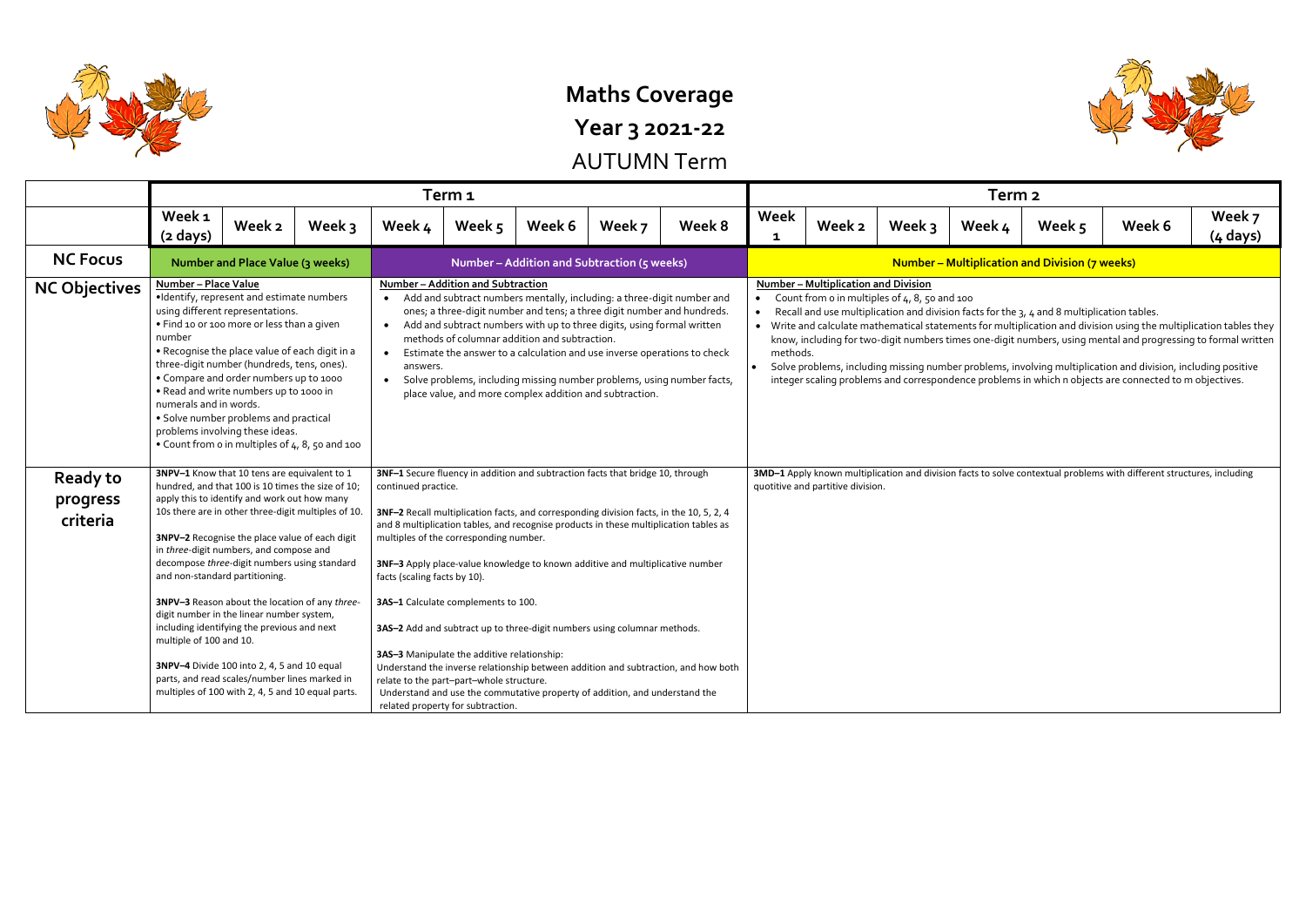

## **Maths Coverage**

**Year 3 2021-22**

AUTUMN Term

|                                         |                                                                                                                                                                                                                                                                                                                                                                                                                                                                                                                                                                                                                                                                                                                       | Term <sub>1</sub>                       |        |                                                                                                                                                                                                                                                                                                                                                                                                                                                                                                                                                                                                                                                                                                                                                                                                                                         |                                                                                    |        |                                                                                                                                                                                                                                                                                                                                                                                                                                              |                                                                                                                                                            |                                                                                                                                                                                                                                                                                                                                                                                                                                                                                                                                                                                                                                                                                    |        |          | Term <sub>2</sub> |                                                       |        |                      |
|-----------------------------------------|-----------------------------------------------------------------------------------------------------------------------------------------------------------------------------------------------------------------------------------------------------------------------------------------------------------------------------------------------------------------------------------------------------------------------------------------------------------------------------------------------------------------------------------------------------------------------------------------------------------------------------------------------------------------------------------------------------------------------|-----------------------------------------|--------|-----------------------------------------------------------------------------------------------------------------------------------------------------------------------------------------------------------------------------------------------------------------------------------------------------------------------------------------------------------------------------------------------------------------------------------------------------------------------------------------------------------------------------------------------------------------------------------------------------------------------------------------------------------------------------------------------------------------------------------------------------------------------------------------------------------------------------------------|------------------------------------------------------------------------------------|--------|----------------------------------------------------------------------------------------------------------------------------------------------------------------------------------------------------------------------------------------------------------------------------------------------------------------------------------------------------------------------------------------------------------------------------------------------|------------------------------------------------------------------------------------------------------------------------------------------------------------|------------------------------------------------------------------------------------------------------------------------------------------------------------------------------------------------------------------------------------------------------------------------------------------------------------------------------------------------------------------------------------------------------------------------------------------------------------------------------------------------------------------------------------------------------------------------------------------------------------------------------------------------------------------------------------|--------|----------|-------------------|-------------------------------------------------------|--------|----------------------|
|                                         | Week <sub>1</sub><br>$(2 \text{ days})$                                                                                                                                                                                                                                                                                                                                                                                                                                                                                                                                                                                                                                                                               | Week 2                                  | Week 3 | Week 4                                                                                                                                                                                                                                                                                                                                                                                                                                                                                                                                                                                                                                                                                                                                                                                                                                  | Week 5                                                                             | Week 6 | Week 7                                                                                                                                                                                                                                                                                                                                                                                                                                       | Week 8                                                                                                                                                     | Week<br>$\mathbf{1}$                                                                                                                                                                                                                                                                                                                                                                                                                                                                                                                                                                                                                                                               | Week 2 | Week $3$ | Week 4            | Week 5                                                | Week 6 | Week 7<br>$(4$ days) |
| <b>NC Focus</b>                         |                                                                                                                                                                                                                                                                                                                                                                                                                                                                                                                                                                                                                                                                                                                       | <b>Number and Place Value (3 weeks)</b> |        |                                                                                                                                                                                                                                                                                                                                                                                                                                                                                                                                                                                                                                                                                                                                                                                                                                         |                                                                                    |        | Number - Addition and Subtraction (5 weeks)                                                                                                                                                                                                                                                                                                                                                                                                  |                                                                                                                                                            |                                                                                                                                                                                                                                                                                                                                                                                                                                                                                                                                                                                                                                                                                    |        |          |                   | <b>Number - Multiplication and Division (7 weeks)</b> |        |                      |
| <b>NC Objectives</b>                    | Number - Place Value<br>·Identify, represent and estimate numbers<br>using different representations.<br>. Find 10 or 100 more or less than a given<br>number<br>. Recognise the place value of each digit in a<br>three-digit number (hundreds, tens, ones).<br>• Compare and order numbers up to 1000<br>. Read and write numbers up to 1000 in<br>numerals and in words.<br>• Solve number problems and practical<br>problems involving these ideas.<br>. Count from o in multiples of 4, 8, 50 and 100                                                                                                                                                                                                            |                                         |        | $\bullet$<br>answers.<br>$\bullet$                                                                                                                                                                                                                                                                                                                                                                                                                                                                                                                                                                                                                                                                                                                                                                                                      | Number - Addition and Subtraction<br>methods of columnar addition and subtraction. |        | Add and subtract numbers mentally, including: a three-digit number and<br>ones; a three-digit number and tens; a three digit number and hundreds.<br>Add and subtract numbers with up to three digits, using formal written<br>Estimate the answer to a calculation and use inverse operations to check<br>Solve problems, including missing number problems, using number facts,<br>place value, and more complex addition and subtraction. |                                                                                                                                                            | <b>Number - Multiplication and Division</b><br>Count from o in multiples of 4, 8, 50 and 100<br>$\bullet$<br>Recall and use multiplication and division facts for the 3, 4 and 8 multiplication tables.<br>Write and calculate mathematical statements for multiplication and division using the multiplication tables they<br>know, including for two-digit numbers times one-digit numbers, using mental and progressing to formal written<br>methods.<br>Solve problems, including missing number problems, involving multiplication and division, including positive<br>integer scaling problems and correspondence problems in which n objects are connected to m objectives. |        |          |                   |                                                       |        |                      |
| <b>Ready to</b><br>progress<br>criteria | 3NPV-1 Know that 10 tens are equivalent to 1<br>hundred, and that 100 is 10 times the size of 10;<br>apply this to identify and work out how many<br>10s there are in other three-digit multiples of 10.<br>3NPV-2 Recognise the place value of each digit<br>in three-digit numbers, and compose and<br>decompose three-digit numbers using standard<br>and non-standard partitioning.<br>3NPV-3 Reason about the location of any three-<br>digit number in the linear number system,<br>including identifying the previous and next<br>multiple of 100 and 10.<br>3NPV-4 Divide 100 into 2, 4, 5 and 10 equal<br>parts, and read scales/number lines marked in<br>multiples of 100 with 2, 4, 5 and 10 equal parts. |                                         |        | 3NF-1 Secure fluency in addition and subtraction facts that bridge 10, through<br>continued practice.<br>3NF-2 Recall multiplication facts, and corresponding division facts, in the 10, 5, 2, 4<br>and 8 multiplication tables, and recognise products in these multiplication tables as<br>multiples of the corresponding number.<br>3NF-3 Apply place-value knowledge to known additive and multiplicative number<br>facts (scaling facts by 10).<br>3AS-1 Calculate complements to 100.<br>3AS-2 Add and subtract up to three-digit numbers using columnar methods.<br>3AS-3 Manipulate the additive relationship:<br>Understand the inverse relationship between addition and subtraction, and how both<br>relate to the part-part-whole structure.<br>Understand and use the commutative property of addition, and understand the |                                                                                    |        |                                                                                                                                                                                                                                                                                                                                                                                                                                              | 3MD-1 Apply known multiplication and division facts to solve contextual problems with different structures, including<br>quotitive and partitive division. |                                                                                                                                                                                                                                                                                                                                                                                                                                                                                                                                                                                                                                                                                    |        |          |                   |                                                       |        |                      |

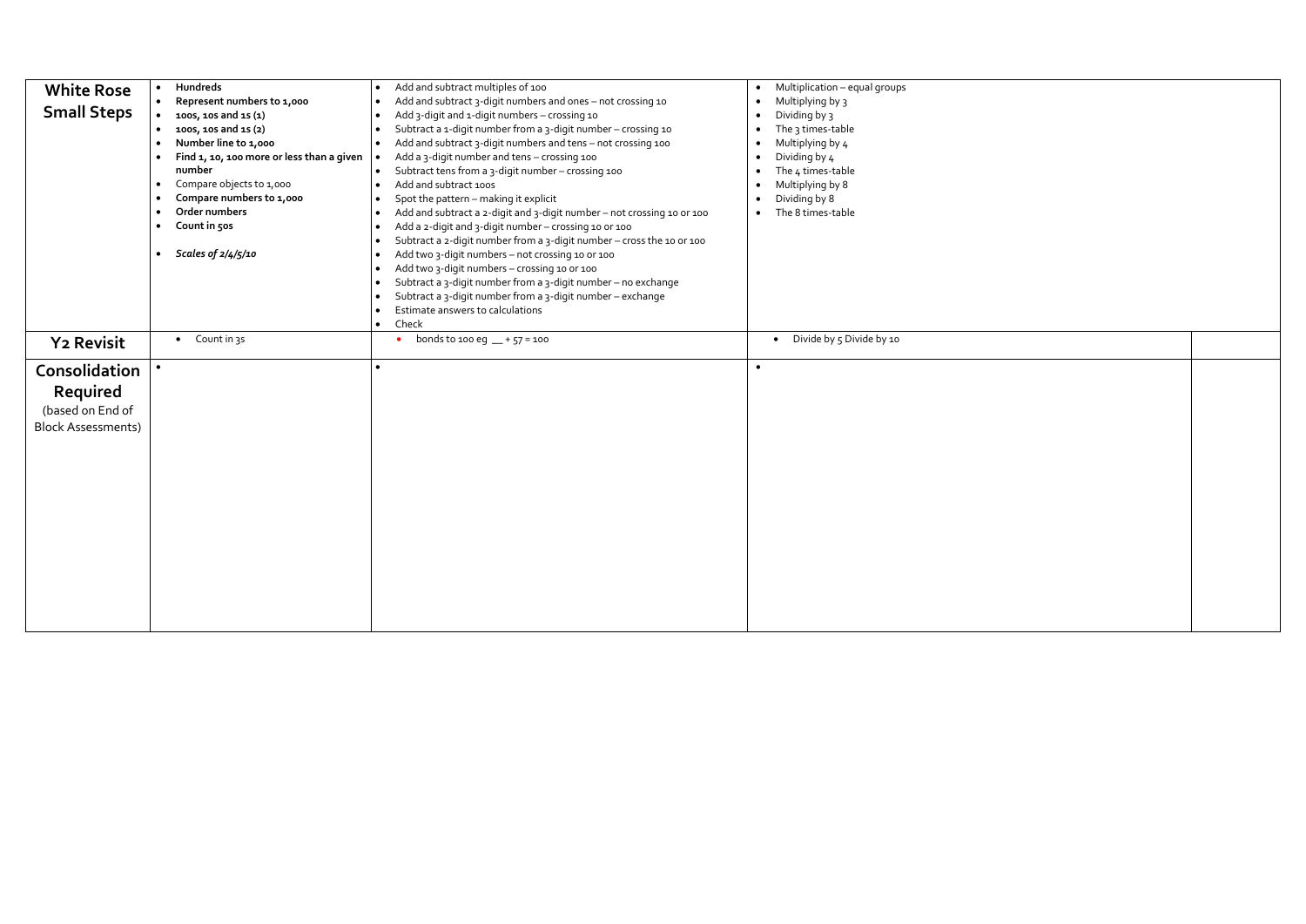| <b>White Rose</b>         | $\bullet$ | Hundreds                                  |           | Add and subtract multiples of 100                                      |           | Multiplication - equal groups         |
|---------------------------|-----------|-------------------------------------------|-----------|------------------------------------------------------------------------|-----------|---------------------------------------|
|                           | $\bullet$ | Represent numbers to 1,000                |           | Add and subtract 3-digit numbers and ones - not crossing 10            |           | Multiplying by 3                      |
| <b>Small Steps</b>        | $\bullet$ | 1005, 105 and 15 (1)                      |           | Add 3-digit and 1-digit numbers - crossing 10                          |           | Dividing by 3                         |
|                           |           | 1005, 105 and 15 (2)                      |           | Subtract a 1-digit number from a 3-digit number - crossing 10          |           | The 3 times-table                     |
|                           | $\bullet$ | Number line to 1,000                      | $\bullet$ | Add and subtract 3-digit numbers and tens - not crossing 100           |           | Multiplying by 4                      |
|                           |           | Find 1, 10, 100 more or less than a given |           | Add a 3-digit number and tens - crossing 100                           |           | Dividing by 4                         |
|                           |           | number                                    |           | Subtract tens from a 3-digit number - crossing 100                     |           | The 4 times-table                     |
|                           | $\bullet$ | Compare objects to 1,000                  |           | Add and subtract 100s                                                  |           | Multiplying by 8                      |
|                           | $\bullet$ | Compare numbers to 1,000                  |           | Spot the pattern - making it explicit                                  |           | Dividing by 8                         |
|                           | $\bullet$ | Order numbers                             | $\bullet$ | Add and subtract a 2-digit and 3-digit number - not crossing 10 or 100 |           | The 8 times-table                     |
|                           | $\bullet$ | Count in 50s                              |           | Add a 2-digit and 3-digit number - crossing 10 or 100                  |           |                                       |
|                           |           |                                           |           | Subtract a 2-digit number from a 3-digit number - cross the 10 or 100  |           |                                       |
|                           |           | Scales of 2/4/5/10                        |           | Add two 3-digit numbers - not crossing 10 or 100                       |           |                                       |
|                           |           |                                           |           | Add two 3-digit numbers - crossing 10 or 100                           |           |                                       |
|                           |           |                                           |           | Subtract a 3-digit number from a 3-digit number - no exchange          |           |                                       |
|                           |           |                                           |           | Subtract a 3-digit number from a 3-digit number - exchange             |           |                                       |
|                           |           |                                           |           | Estimate answers to calculations                                       |           |                                       |
|                           |           |                                           | $\bullet$ | Check                                                                  |           |                                       |
| <b>Y2 Revisit</b>         |           | Count in 3s<br>$\bullet$                  |           | bonds to 100 eg $-$ + 57 = 100<br>$\bullet$                            |           | Divide by 5 Divide by 10<br>$\bullet$ |
|                           |           |                                           |           |                                                                        |           |                                       |
| Consolidation             |           |                                           | $\bullet$ |                                                                        | $\bullet$ |                                       |
| Required                  |           |                                           |           |                                                                        |           |                                       |
|                           |           |                                           |           |                                                                        |           |                                       |
| (based on End of          |           |                                           |           |                                                                        |           |                                       |
| <b>Block Assessments)</b> |           |                                           |           |                                                                        |           |                                       |
|                           |           |                                           |           |                                                                        |           |                                       |
|                           |           |                                           |           |                                                                        |           |                                       |
|                           |           |                                           |           |                                                                        |           |                                       |
|                           |           |                                           |           |                                                                        |           |                                       |
|                           |           |                                           |           |                                                                        |           |                                       |
|                           |           |                                           |           |                                                                        |           |                                       |
|                           |           |                                           |           |                                                                        |           |                                       |
|                           |           |                                           |           |                                                                        |           |                                       |
|                           |           |                                           |           |                                                                        |           |                                       |
|                           |           |                                           |           |                                                                        |           |                                       |
|                           |           |                                           |           |                                                                        |           |                                       |
|                           |           |                                           |           |                                                                        |           |                                       |
|                           |           |                                           |           |                                                                        |           |                                       |
|                           |           |                                           |           |                                                                        |           |                                       |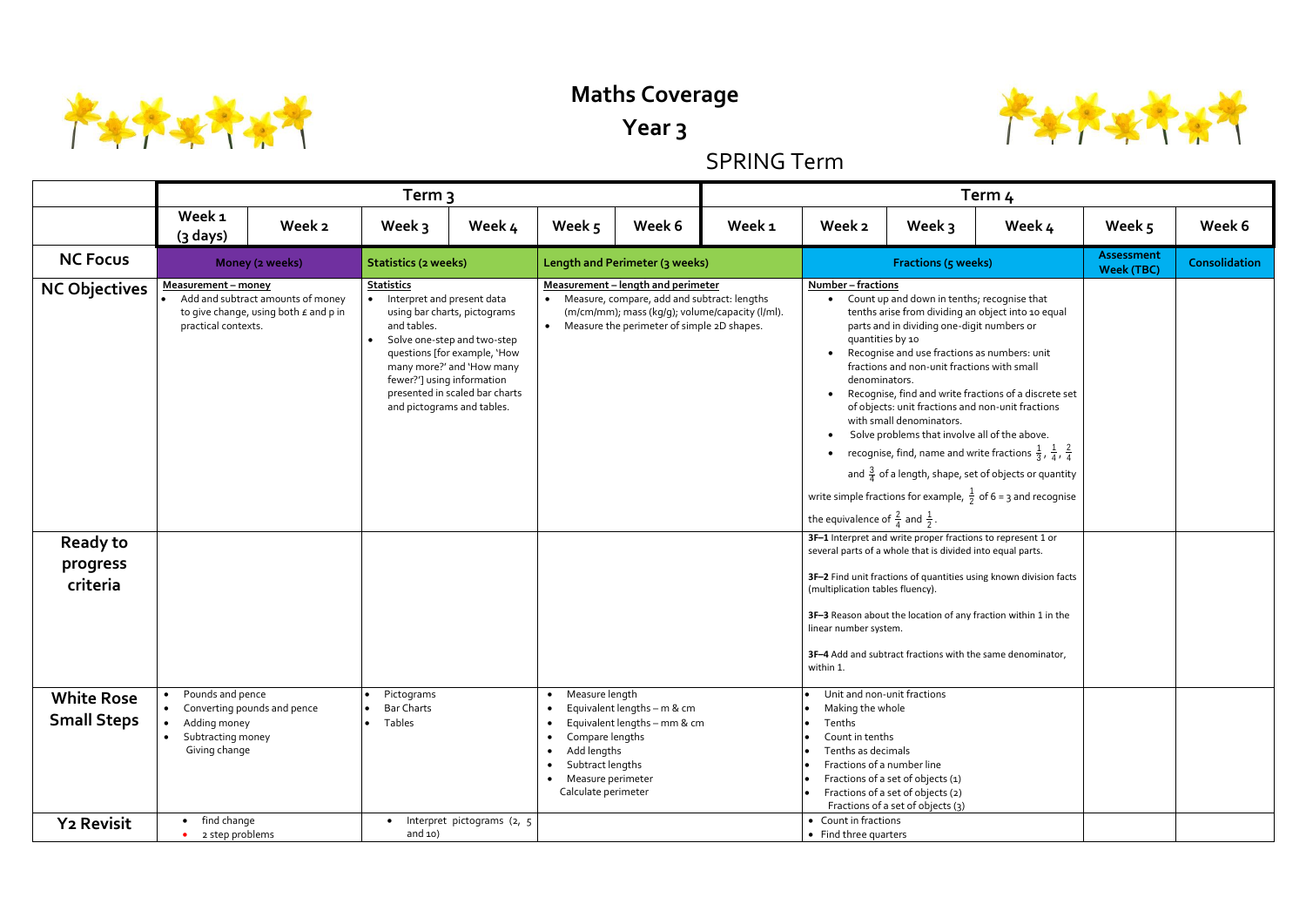

## **Maths Coverage**

## **Year 3**

## SPRING Term

|                                         |                                                                                                         |                                                                                     | Term 3                                                                                                                     |                                                                                                                                                            |                                                                                                                                                         |                                                                                                                                                                                        |                   |                                                                                                   |                                                                                                                                                                                                                                                                                           | Term <sub>4</sub>                                                                                                                                                                                                                                                                                                                                                                                             | Week 5<br>Week 6<br>Assessment<br><b>Consolidation</b><br><b>Week (TBC)</b> |  |  |  |  |  |  |
|-----------------------------------------|---------------------------------------------------------------------------------------------------------|-------------------------------------------------------------------------------------|----------------------------------------------------------------------------------------------------------------------------|------------------------------------------------------------------------------------------------------------------------------------------------------------|---------------------------------------------------------------------------------------------------------------------------------------------------------|----------------------------------------------------------------------------------------------------------------------------------------------------------------------------------------|-------------------|---------------------------------------------------------------------------------------------------|-------------------------------------------------------------------------------------------------------------------------------------------------------------------------------------------------------------------------------------------------------------------------------------------|---------------------------------------------------------------------------------------------------------------------------------------------------------------------------------------------------------------------------------------------------------------------------------------------------------------------------------------------------------------------------------------------------------------|-----------------------------------------------------------------------------|--|--|--|--|--|--|
|                                         | Week 1<br>(3 days)                                                                                      | Week 2                                                                              | Week 3                                                                                                                     | Week 4                                                                                                                                                     | Week 5                                                                                                                                                  | Week 6                                                                                                                                                                                 | Week <sub>1</sub> | Week 2                                                                                            | Week 3                                                                                                                                                                                                                                                                                    | Week 4                                                                                                                                                                                                                                                                                                                                                                                                        |                                                                             |  |  |  |  |  |  |
| <b>NC Focus</b>                         |                                                                                                         | Money (2 weeks)                                                                     | <b>Statistics (2 weeks)</b>                                                                                                |                                                                                                                                                            |                                                                                                                                                         | Length and Perimeter (3 weeks)                                                                                                                                                         |                   |                                                                                                   | <b>Fractions (5 weeks)</b>                                                                                                                                                                                                                                                                |                                                                                                                                                                                                                                                                                                                                                                                                               |                                                                             |  |  |  |  |  |  |
| <b>NC Objectives</b>                    | Measurement - money<br>practical contexts.                                                              | Add and subtract amounts of money<br>to give change, using both $\epsilon$ and p in | <b>Statistics</b><br>Interpret and present data<br>and tables.<br>fewer?'] using information<br>and pictograms and tables. | using bar charts, pictograms<br>Solve one-step and two-step<br>questions [for example, 'How<br>many more?' and 'How many<br>presented in scaled bar charts |                                                                                                                                                         | Measurement - length and perimeter<br>• Measure, compare, add and subtract: lengths<br>(m/cm/mm); mass (kg/g); volume/capacity (l/ml).<br>• Measure the perimeter of simple 2D shapes. |                   | Number - fractions<br>denominators.<br>the equivalence of $\frac{2}{4}$ and $\frac{1}{2}$ .       | Count up and down in tenths; recognise that<br>parts and in dividing one-digit numbers or<br>quantities by 10<br>Recognise and use fractions as numbers: unit<br>fractions and non-unit fractions with small<br>with small denominators.<br>Solve problems that involve all of the above. | tenths arise from dividing an object into 10 equal<br>Recognise, find and write fractions of a discrete set<br>of objects: unit fractions and non-unit fractions<br>• recognise, find, name and write fractions $\frac{1}{3}$ , $\frac{1}{4}$ , $\frac{2}{4}$<br>and $\frac{3}{4}$ of a length, shape, set of objects or quantity<br>write simple fractions for example, $\frac{1}{2}$ of 6 = 3 and recognise |                                                                             |  |  |  |  |  |  |
| <b>Ready to</b><br>progress<br>criteria |                                                                                                         |                                                                                     |                                                                                                                            |                                                                                                                                                            |                                                                                                                                                         |                                                                                                                                                                                        |                   | (multiplication tables fluency).<br>linear number system.<br>within 1.                            | 3F-1 Interpret and write proper fractions to represent 1 or<br>several parts of a whole that is divided into equal parts.                                                                                                                                                                 | 3F-2 Find unit fractions of quantities using known division facts<br>3F-3 Reason about the location of any fraction within 1 in the<br>3F-4 Add and subtract fractions with the same denominator,                                                                                                                                                                                                             |                                                                             |  |  |  |  |  |  |
| <b>White Rose</b><br><b>Small Steps</b> | Pounds and pence<br>• Converting pounds and pence<br>Adding money<br>Subtracting money<br>Giving change |                                                                                     | Pictograms<br><b>Bar Charts</b><br>Tables                                                                                  |                                                                                                                                                            | Measure length<br>Compare lengths<br>$\bullet$<br>Add lengths<br>Subtract lengths<br>$\bullet$<br>Measure perimeter<br>$\bullet$<br>Calculate perimeter | Equivalent lengths - m & cm<br>Equivalent lengths - mm & cm                                                                                                                            |                   | Making the whole<br>Tenths<br>Count in tenths<br>Tenths as decimals<br>Fractions of a number line | Unit and non-unit fractions<br>Fractions of a set of objects (1)<br>Fractions of a set of objects (2)<br>Fractions of a set of objects (3)                                                                                                                                                |                                                                                                                                                                                                                                                                                                                                                                                                               |                                                                             |  |  |  |  |  |  |
| <b>Y2 Revisit</b>                       | find change<br>$\bullet$<br>2 step problems                                                             |                                                                                     | and $10)$                                                                                                                  | Interpret pictograms (2, 5                                                                                                                                 |                                                                                                                                                         |                                                                                                                                                                                        |                   | • Count in fractions<br>• Find three quarters                                                     |                                                                                                                                                                                                                                                                                           |                                                                                                                                                                                                                                                                                                                                                                                                               |                                                                             |  |  |  |  |  |  |

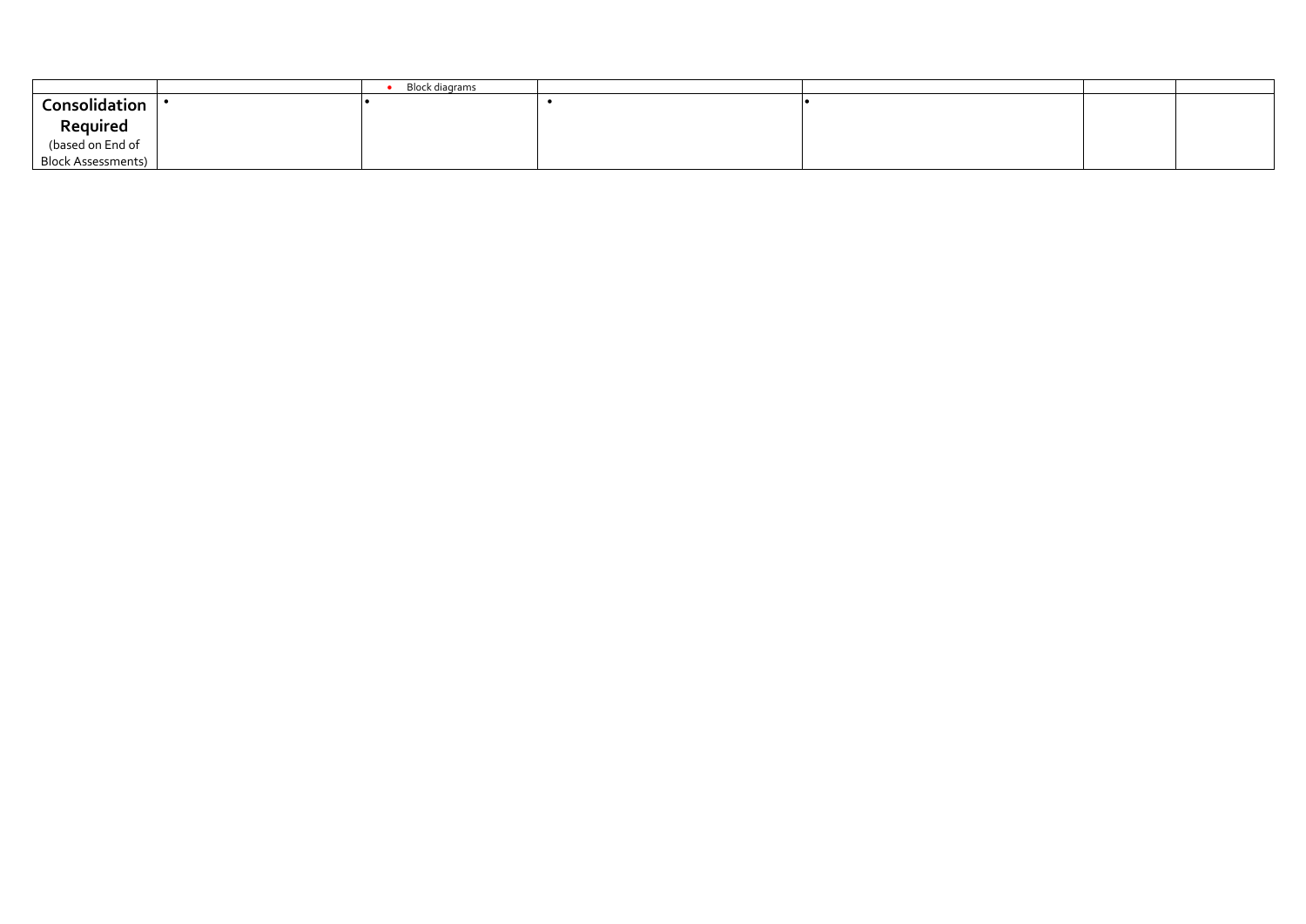|                                                           | Block diagrams |  |  |
|-----------------------------------------------------------|----------------|--|--|
| Consolidation                                             |                |  |  |
| <b>Required</b><br>(based on End of<br>Block Assessments) |                |  |  |
|                                                           |                |  |  |
|                                                           |                |  |  |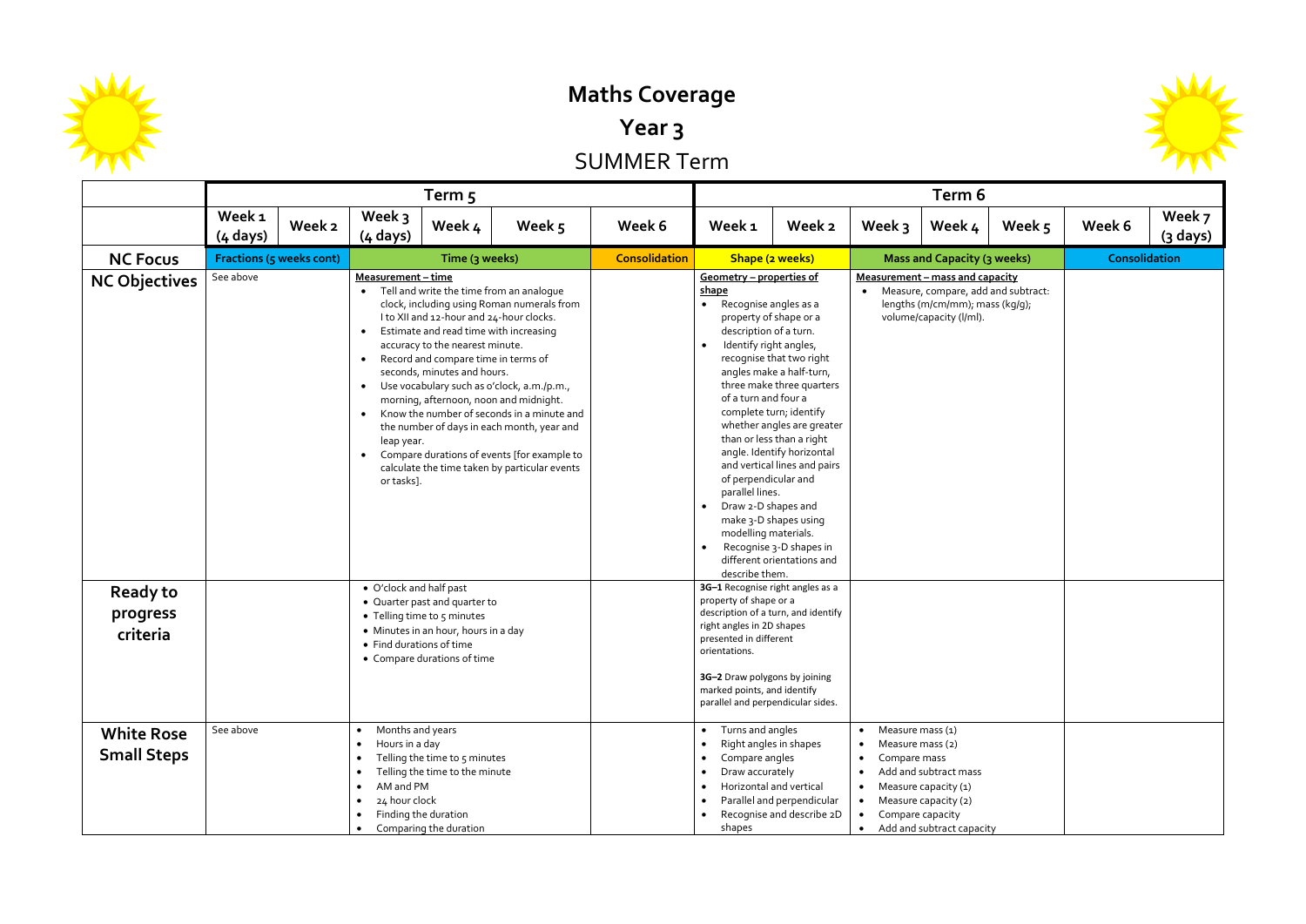

**Maths Coverage**

**Year 3**

SUMMER Term

|                                         | Term <sub>5</sub>                                                       |                                                                                                                                                                                                                 |                                                                                                                                                                                                                                                                                                                                                                                                                                                                                                                                                                                                                                                                                                           |                                                                     |        |                      |                                                                                                                                                                                                                                                                                                                  | Term 6                                                                                                                                                                                                                                                                                                                  |                                                                                                                                                          |                                                                                                                        |        |               |                    |  |  |
|-----------------------------------------|-------------------------------------------------------------------------|-----------------------------------------------------------------------------------------------------------------------------------------------------------------------------------------------------------------|-----------------------------------------------------------------------------------------------------------------------------------------------------------------------------------------------------------------------------------------------------------------------------------------------------------------------------------------------------------------------------------------------------------------------------------------------------------------------------------------------------------------------------------------------------------------------------------------------------------------------------------------------------------------------------------------------------------|---------------------------------------------------------------------|--------|----------------------|------------------------------------------------------------------------------------------------------------------------------------------------------------------------------------------------------------------------------------------------------------------------------------------------------------------|-------------------------------------------------------------------------------------------------------------------------------------------------------------------------------------------------------------------------------------------------------------------------------------------------------------------------|----------------------------------------------------------------------------------------------------------------------------------------------------------|------------------------------------------------------------------------------------------------------------------------|--------|---------------|--------------------|--|--|
|                                         | Week <sub>1</sub><br>$(4 \text{ days})$                                 | Week 2                                                                                                                                                                                                          | Week 3<br>$(4 \text{ days})$                                                                                                                                                                                                                                                                                                                                                                                                                                                                                                                                                                                                                                                                              | Week 4                                                              | Week 5 | Week 6               | Week 1                                                                                                                                                                                                                                                                                                           | Week 2                                                                                                                                                                                                                                                                                                                  | Week $3$                                                                                                                                                 | Week 4                                                                                                                 | Week 5 | Week 6        | Week 7<br>(3 days) |  |  |
| <b>NC Focus</b>                         |                                                                         |                                                                                                                                                                                                                 |                                                                                                                                                                                                                                                                                                                                                                                                                                                                                                                                                                                                                                                                                                           | Time (3 weeks)                                                      |        | <b>Consolidation</b> |                                                                                                                                                                                                                                                                                                                  | Shape (2 weeks)                                                                                                                                                                                                                                                                                                         |                                                                                                                                                          | Mass and Capacity (3 weeks)                                                                                            |        | Consolidation |                    |  |  |
| <b>NC Objectives</b><br><b>Ready to</b> | <b>Fractions (5 weeks cont)</b><br>See above<br>• O'clock and half past |                                                                                                                                                                                                                 | Measurement - time<br>Tell and write the time from an analoque<br>$\bullet$<br>clock, including using Roman numerals from<br>I to XII and 12-hour and 24-hour clocks.<br>Estimate and read time with increasing<br>$\bullet$<br>accuracy to the nearest minute.<br>Record and compare time in terms of<br>$\bullet$<br>seconds, minutes and hours.<br>Use vocabulary such as o'clock, a.m./p.m.,<br>$\bullet$<br>morning, afternoon, noon and midnight.<br>Know the number of seconds in a minute and<br>$\bullet$<br>the number of days in each month, year and<br>leap year.<br>Compare durations of events [for example to<br>$\bullet$<br>calculate the time taken by particular events<br>or tasks]. |                                                                     |        |                      | Geometry – properties of<br>shape<br>Recognise angles as a<br>property of shape or a<br>description of a turn.<br>Identify right angles,<br>of a turn and four a<br>of perpendicular and<br>parallel lines.<br>Draw 2-D shapes and<br>modelling materials.<br>describe them.<br>3G-1 Recognise right angles as a | recognise that two right<br>angles make a half-turn,<br>three make three quarters<br>complete turn; identify<br>whether angles are greater<br>than or less than a right<br>angle. Identify horizontal<br>and vertical lines and pairs<br>make 3-D shapes using<br>Recognise 3-D shapes in<br>different orientations and | <b>Measurement - mass and capacity</b><br>Measure, compare, add and subtract:<br>$\bullet$<br>lengths (m/cm/mm); mass (kg/g);<br>volume/capacity (l/ml). |                                                                                                                        |        |               |                    |  |  |
| progress                                |                                                                         |                                                                                                                                                                                                                 |                                                                                                                                                                                                                                                                                                                                                                                                                                                                                                                                                                                                                                                                                                           | • Quarter past and quarter to<br>• Telling time to 5 minutes        |        |                      | property of shape or a<br>description of a turn, and identify                                                                                                                                                                                                                                                    |                                                                                                                                                                                                                                                                                                                         |                                                                                                                                                          |                                                                                                                        |        |               |                    |  |  |
| criteria                                |                                                                         |                                                                                                                                                                                                                 | • Find durations of time                                                                                                                                                                                                                                                                                                                                                                                                                                                                                                                                                                                                                                                                                  | • Minutes in an hour, hours in a day<br>• Compare durations of time |        |                      | right angles in 2D shapes<br>presented in different<br>orientations.<br>3G-2 Draw polygons by joining<br>marked points, and identify<br>parallel and perpendicular sides.                                                                                                                                        |                                                                                                                                                                                                                                                                                                                         |                                                                                                                                                          |                                                                                                                        |        |               |                    |  |  |
| <b>White Rose</b><br><b>Small Steps</b> | See above                                                               | Months and years<br>Hours in a day<br>Telling the time to 5 minutes<br>Telling the time to the minute<br>AM and PM<br>$\bullet$<br>24 hour clock<br>$\bullet$<br>Finding the duration<br>Comparing the duration |                                                                                                                                                                                                                                                                                                                                                                                                                                                                                                                                                                                                                                                                                                           |                                                                     |        |                      | Turns and angles<br>$\bullet$<br>Right angles in shapes<br>$\bullet$<br>Compare angles<br>$\bullet$<br>Draw accurately<br>$\bullet$<br>Horizontal and vertical<br>$\bullet$<br>shapes                                                                                                                            | Parallel and perpendicular<br>Recognise and describe 2D                                                                                                                                                                                                                                                                 | Measure mass (1)<br>Measure mass (2)<br>Compare mass<br>$\bullet$                                                                                        | Add and subtract mass<br>Measure capacity (1)<br>Measure capacity (2)<br>Compare capacity<br>Add and subtract capacity |        |               |                    |  |  |